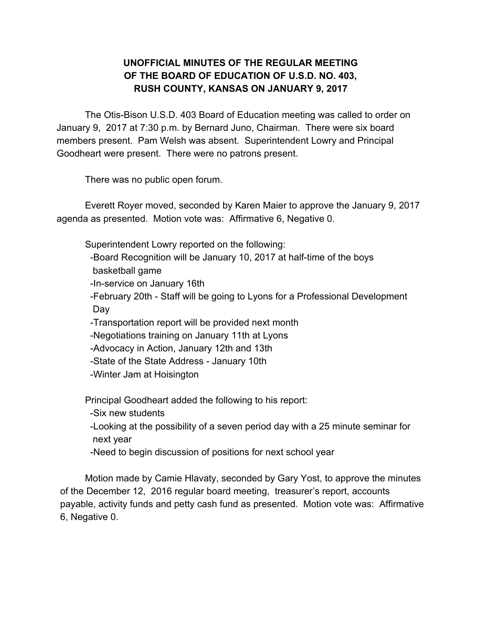## **UNOFFICIAL MINUTES OF THE REGULAR MEETING OF THE BOARD OF EDUCATION OF U.S.D. NO. 403, RUSH COUNTY, KANSAS ON JANUARY 9, 2017**

The Otis-Bison U.S.D. 403 Board of Education meeting was called to order on January 9, 2017 at 7:30 p.m. by Bernard Juno, Chairman. There were six board members present. Pam Welsh was absent. Superintendent Lowry and Principal Goodheart were present. There were no patrons present.

There was no public open forum.

Everett Royer moved, seconded by Karen Maier to approve the January 9, 2017 agenda as presented. Motion vote was: Affirmative 6, Negative 0.

Superintendent Lowry reported on the following:

 -Board Recognition will be January 10, 2017 at half-time of the boys basketball game

-In-service on January 16th

 -February 20th - Staff will be going to Lyons for a Professional Development Day

-Transportation report will be provided next month

-Negotiations training on January 11th at Lyons

-Advocacy in Action, January 12th and 13th

-State of the State Address - January 10th

-Winter Jam at Hoisington

Principal Goodheart added the following to his report:

-Six new students

 -Looking at the possibility of a seven period day with a 25 minute seminar for next year

-Need to begin discussion of positions for next school year

Motion made by Camie Hlavaty, seconded by Gary Yost, to approve the minutes of the December 12, 2016 regular board meeting, treasurer's report, accounts payable, activity funds and petty cash fund as presented. Motion vote was: Affirmative 6, Negative 0.